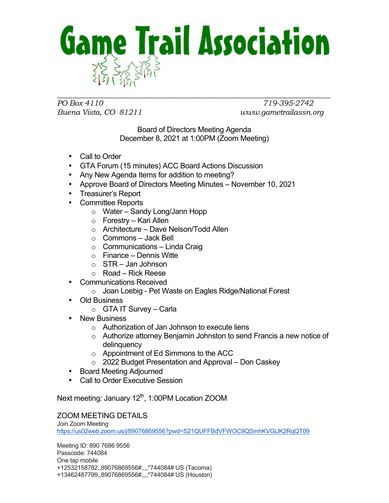

*PO Box 4110 719-395-2742 Buena Vista, CO 81211 www.gametrailassn.org*

Board of Directors Meeting Agenda December 8, 2021 at 1:00PM (Zoom Meeting)

- Call to Order
- GTA Forum (15 minutes) ACC Board Actions Discussion
- Any New Agenda Items for addition to meeting?
- Approve Board of Directors Meeting Minutes November 10, 2021
- Treasurer's Report
- Committee Reports
	- o Water Sandy Long/Jann Hopp
	- o Forestry Kari Allen
	- o Architecture Dave Nelson/Todd Allen
	- o Commons Jack Bell
	- $\circ$  Communications Linda Craig
	- $\circ$  Finance Dennis Witte
	- $\circ$  STR Jan Johnson
	- o Road Rick Reese
- Communications Received
	- o Joan Loebig Pet Waste on Eagles Ridge/National Forest
- Old Business
	- $\circ$  GTA IT Survey Carla
- New Business
	- o Authorization of Jan Johnson to execute liens
	- o Authorize attorney Benjamin Johnston to send Francis a new notice of delinquency
	- o Appointment of Ed Simmons to the ACC
	- o 2022 Budget Presentation and Approval Don Caskey
- Board Meeting Adjourned
- Call to Order Executive Session

Next meeting: January 12<sup>th</sup>, 1:00PM Location ZOOM

## ZOOM MEETING DETAILS

Join Zoom Meeting https://us02web.zoom.us/j/89076869556?pwd=S21QUFFBdVFWOC9QSmhKVGlJK2RqQT09

Meeting ID: 890 7686 9556 Passcode: 744084 One tap mobile +12532158782,,89076869556#,,,,\*744084# US (Tacoma) +13462487799,,89076869556#,,,,\*744084# US (Houston)